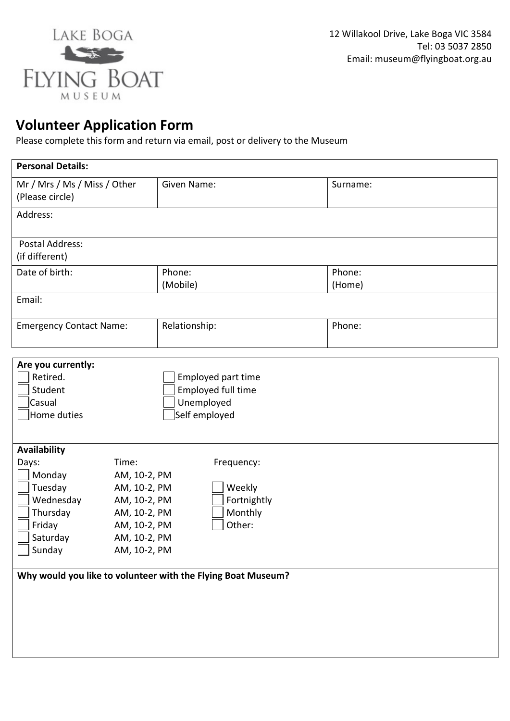

## **Volunteer Application Form**

Please complete this form and return via email, post or delivery to the Museum

| <b>Personal Details:</b>                                                                                                                                                                                                                                                                                                                                 |  |                                                                         |                  |  |  |
|----------------------------------------------------------------------------------------------------------------------------------------------------------------------------------------------------------------------------------------------------------------------------------------------------------------------------------------------------------|--|-------------------------------------------------------------------------|------------------|--|--|
| Mr / Mrs / Ms / Miss / Other<br>(Please circle)                                                                                                                                                                                                                                                                                                          |  | Given Name:                                                             | Surname:         |  |  |
| Address:                                                                                                                                                                                                                                                                                                                                                 |  |                                                                         |                  |  |  |
| <b>Postal Address:</b><br>(if different)                                                                                                                                                                                                                                                                                                                 |  |                                                                         |                  |  |  |
| Date of birth:                                                                                                                                                                                                                                                                                                                                           |  | Phone:<br>(Mobile)                                                      | Phone:<br>(Home) |  |  |
| Email:                                                                                                                                                                                                                                                                                                                                                   |  |                                                                         |                  |  |  |
| <b>Emergency Contact Name:</b>                                                                                                                                                                                                                                                                                                                           |  | Relationship:                                                           | Phone:           |  |  |
| Are you currently:<br>Retired.<br>Student<br>Casual<br>Home duties                                                                                                                                                                                                                                                                                       |  | Employed part time<br>Employed full time<br>Unemployed<br>Self employed |                  |  |  |
| Availability<br>Time:<br>Days:<br>Frequency:<br>Monday<br>AM, 10-2, PM<br>Tuesday<br>AM, 10-2, PM<br>Weekly<br>Wednesday<br>Fortnightly<br>AM, 10-2, PM<br>Thursday<br>Monthly<br>AM, 10-2, PM<br>Other:<br>Friday<br>AM, 10-2, PM<br>Saturday<br>AM, 10-2, PM<br>Sunday<br>AM, 10-2, PM<br>Why would you like to volunteer with the Flying Boat Museum? |  |                                                                         |                  |  |  |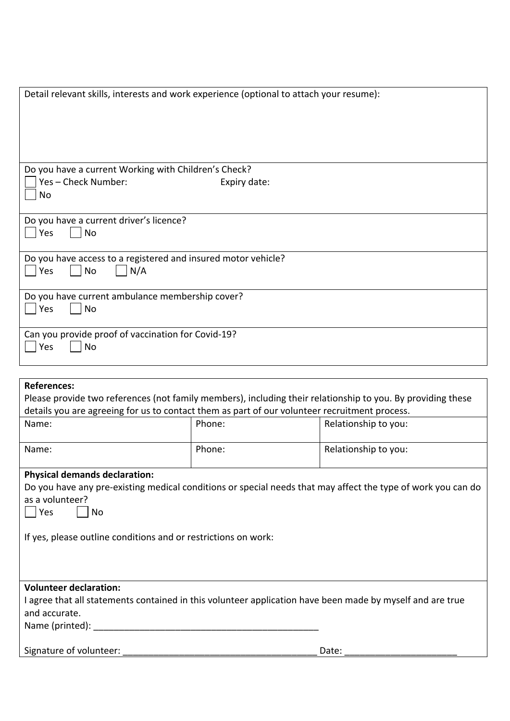| Detail relevant skills, interests and work experience (optional to attach your resume):                                           |              |                      |  |  |
|-----------------------------------------------------------------------------------------------------------------------------------|--------------|----------------------|--|--|
|                                                                                                                                   |              |                      |  |  |
|                                                                                                                                   |              |                      |  |  |
| Do you have a current Working with Children's Check?                                                                              |              |                      |  |  |
| Yes-Check Number:                                                                                                                 | Expiry date: |                      |  |  |
| No                                                                                                                                |              |                      |  |  |
| Do you have a current driver's licence?<br>Yes<br>No                                                                              |              |                      |  |  |
| Do you have access to a registered and insured motor vehicle?                                                                     |              |                      |  |  |
| <b>No</b><br>Yes<br>N/A                                                                                                           |              |                      |  |  |
| Do you have current ambulance membership cover?<br>Yes<br>No                                                                      |              |                      |  |  |
| Can you provide proof of vaccination for Covid-19?<br>No<br>Yes                                                                   |              |                      |  |  |
|                                                                                                                                   |              |                      |  |  |
| <b>References:</b><br>Please provide two references (not family members), including their relationship to you. By providing these |              |                      |  |  |
| details you are agreeing for us to contact them as part of our volunteer recruitment process.                                     |              |                      |  |  |
| Name:                                                                                                                             | Phone:       | Relationship to you: |  |  |
| Name:                                                                                                                             | Phone:       | Relationship to you: |  |  |
| <b>Physical demands declaration:</b>                                                                                              |              |                      |  |  |
| Do you have any pre-existing medical conditions or special needs that may affect the type of work you can do<br>as a volunteer?   |              |                      |  |  |
| Yes<br>No                                                                                                                         |              |                      |  |  |
|                                                                                                                                   |              |                      |  |  |
| If yes, please outline conditions and or restrictions on work:                                                                    |              |                      |  |  |
|                                                                                                                                   |              |                      |  |  |
|                                                                                                                                   |              |                      |  |  |
| <b>Volunteer declaration:</b>                                                                                                     |              |                      |  |  |
| I agree that all statements contained in this volunteer application have been made by myself and are true<br>and accurate.        |              |                      |  |  |
|                                                                                                                                   |              |                      |  |  |
|                                                                                                                                   |              |                      |  |  |
| Signature of volunteer:                                                                                                           |              | Date:                |  |  |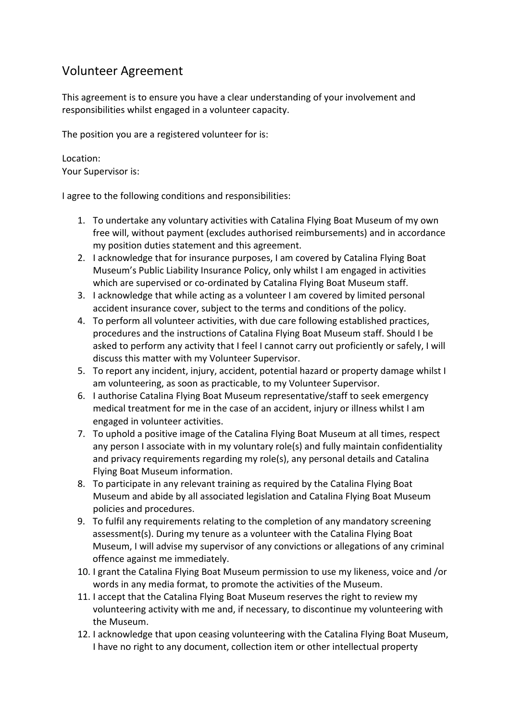## Volunteer Agreement

This agreement is to ensure you have a clear understanding of your involvement and responsibilities whilst engaged in a volunteer capacity.

The position you are a registered volunteer for is:

Location: Your Supervisor is:

I agree to the following conditions and responsibilities:

- 1. To undertake any voluntary activities with Catalina Flying Boat Museum of my own free will, without payment (excludes authorised reimbursements) and in accordance my position duties statement and this agreement.
- 2. I acknowledge that for insurance purposes, I am covered by Catalina Flying Boat Museum's Public Liability Insurance Policy, only whilst I am engaged in activities which are supervised or co-ordinated by Catalina Flying Boat Museum staff.
- 3. I acknowledge that while acting as a volunteer I am covered by limited personal accident insurance cover, subject to the terms and conditions of the policy.
- 4. To perform all volunteer activities, with due care following established practices, procedures and the instructions of Catalina Flying Boat Museum staff. Should I be asked to perform any activity that I feel I cannot carry out proficiently or safely, I will discuss this matter with my Volunteer Supervisor.
- 5. To report any incident, injury, accident, potential hazard or property damage whilst I am volunteering, as soon as practicable, to my Volunteer Supervisor.
- 6. I authorise Catalina Flying Boat Museum representative/staff to seek emergency medical treatment for me in the case of an accident, injury or illness whilst I am engaged in volunteer activities.
- 7. To uphold a positive image of the Catalina Flying Boat Museum at all times, respect any person I associate with in my voluntary role(s) and fully maintain confidentiality and privacy requirements regarding my role(s), any personal details and Catalina Flying Boat Museum information.
- 8. To participate in any relevant training as required by the Catalina Flying Boat Museum and abide by all associated legislation and Catalina Flying Boat Museum policies and procedures.
- 9. To fulfil any requirements relating to the completion of any mandatory screening assessment(s). During my tenure as a volunteer with the Catalina Flying Boat Museum, I will advise my supervisor of any convictions or allegations of any criminal offence against me immediately.
- 10. I grant the Catalina Flying Boat Museum permission to use my likeness, voice and /or words in any media format, to promote the activities of the Museum.
- 11. I accept that the Catalina Flying Boat Museum reserves the right to review my volunteering activity with me and, if necessary, to discontinue my volunteering with the Museum.
- 12. I acknowledge that upon ceasing volunteering with the Catalina Flying Boat Museum, I have no right to any document, collection item or other intellectual property